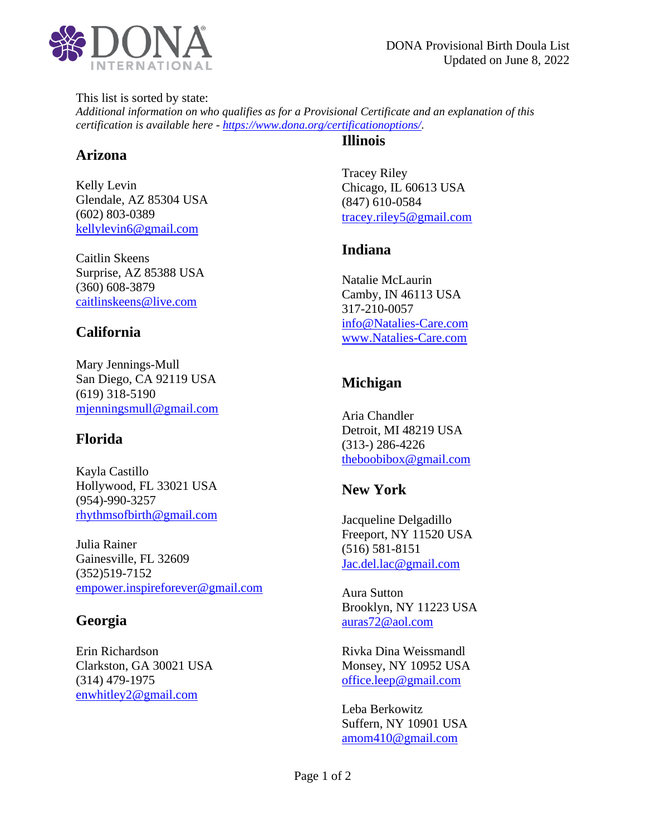

This list is sorted by state:

*Additional information on who qualifies as for a Provisional Certificate and an explanation of this certification is available here - [https://www.dona.org/certificationoptions/.](https://www.dona.org/certificationoptions/)*

## **Arizona**

Kelly Levin Glendale, AZ 85304 USA (602) 803-0389 [kellylevin6@gmail.com](mailto:kellylevin6@gmail.com)

Caitlin Skeens Surprise, AZ 85388 USA (360) 608-3879 [caitlinskeens@live.com](mailto:caitlinskeens@live.com)

## **California**

Mary Jennings-Mull San Diego, CA 92119 USA (619) 318-5190 [mjenningsmull@gmail.com](file://///bostrom.com/corporate/Clients/DONA%20(313)/Certification%20(470)/Provisional%20Directory/Provisional%20Directory%20List-2022/April/mjenningsmull@gmail.com)

### **Florida**

Kayla Castillo Hollywood, FL 33021 USA (954)-990-3257 [rhythmsofbirth@gmail.com](mailto:rhythmsofbirth@gmail.com)

Julia Rainer Gainesville, FL 32609 (352)519-7152 [empower.inspireforever@gmail.com](mailto:empower.inspireforever@gmail.com)

## **Georgia**

Erin Richardson Clarkston, GA 30021 USA (314) 479-1975 [enwhitley2@gmail.com](mailto:enwhitley2@gmail.com)

#### **Illinois**

Tracey Riley Chicago, IL 60613 USA (847) 610-0584 [tracey.riley5@gmail.com](file://///bostrom.com/corporate/Clients/DONA%20(313)/Certification%20(470)/Provisional%20Directory/Provisional%20Directory%20List-2022/April/tracey.riley5@gmail.com)

## **Indiana**

Natalie McLaurin Camby, IN 46113 USA 317-210-0057 [info@Natalies-Care.com](mailto:info@Natalies-Care.com) [www.Natalies-Care.com](http://www.natalies-care.com/)

# **Michigan**

Aria Chandler Detroit, MI 48219 USA (313-) 286-4226 [theboobibox@gmail.com](mailto:theboobibox@gmail.com)

# **New York**

Jacqueline Delgadillo Freeport, NY 11520 USA (516) 581-8151 [Jac.del.lac@gmail.com](mailto:Jac.del.lac@gmail.com)

Aura Sutton Brooklyn, NY 11223 USA [auras72@aol.com](mailto:auras72@aol.com)

Rivka Dina Weissmandl Monsey, NY 10952 USA [office.leep@gmail.com](mailto:office.leep@gmail.com)

Leba Berkowitz Suffern, NY 10901 USA [amom410@gmail.com](mailto:amom410@gmail.com)